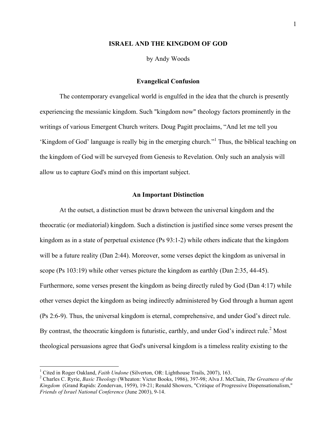## **ISRAEL AND THE KINGDOM OF GOD**

by Andy Woods

## **Evangelical Confusion**

The contemporary evangelical world is engulfed in the idea that the church is presently experiencing the messianic kingdom. Such "kingdom now" theology factors prominently in the writings of various Emergent Church writers. Doug Pagitt proclaims, "And let me tell you 'Kingdom of God' language is really big in the emerging church." <sup>1</sup> Thus, the biblical teaching on the kingdom of God will be surveyed from Genesis to Revelation. Only such an analysis will allow us to capture God's mind on this important subject.

## **An Important Distinction**

At the outset, a distinction must be drawn between the universal kingdom and the theocratic (or mediatorial) kingdom. Such a distinction is justified since some verses present the kingdom as in a state of perpetual existence (Ps 93:1-2) while others indicate that the kingdom will be a future reality (Dan 2:44). Moreover, some verses depict the kingdom as universal in scope (Ps 103:19) while other verses picture the kingdom as earthly (Dan 2:35, 44-45). Furthermore, some verses present the kingdom as being directly ruled by God (Dan 4:17) while other verses depict the kingdom as being indirectly administered by God through a human agent (Ps 2:6-9). Thus, the universal kingdom is eternal, comprehensive, and under God's direct rule. By contrast, the theocratic kingdom is futuristic, earthly, and under God's indirect rule.<sup>2</sup> Most theological persuasions agree that God's universal kingdom is a timeless reality existing to the

<sup>&</sup>lt;sup>1</sup> Cited in Roger Oakland, *Faith Undone* (Silverton, OR: Lighthouse Trails, 2007), 163.<br><sup>2</sup> Charles C. Ryrie, *Basic Theology* (Wheaton: Victor Books, 1986), 397-98; Alva J. McClain, *The Greatness of the Kingdom* (Grand Rapids: Zondervan, 1959), 19-21; Renald Showers, "Critique of Progressive Dispensationalism," *Friends of Israel National Conference* (June 2003), 9-14.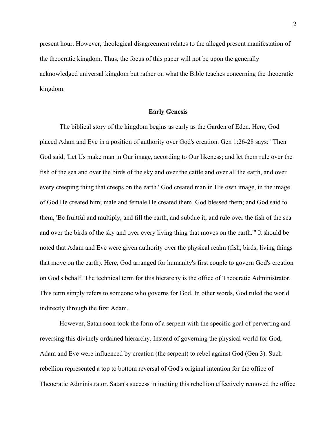present hour. However, theological disagreement relates to the alleged present manifestation of the theocratic kingdom. Thus, the focus of this paper will not be upon the generally acknowledged universal kingdom but rather on what the Bible teaches concerning the theocratic kingdom.

## **Early Genesis**

The biblical story of the kingdom begins as early as the Garden of Eden. Here, God placed Adam and Eve in a position of authority over God's creation. Gen 1:26-28 says: "Then God said, 'Let Us make man in Our image, according to Our likeness; and let them rule over the fish of the sea and over the birds of the sky and over the cattle and over all the earth, and over every creeping thing that creeps on the earth.' God created man in His own image, in the image of God He created him; male and female He created them. God blessed them; and God said to them, 'Be fruitful and multiply, and fill the earth, and subdue it; and rule over the fish of the sea and over the birds of the sky and over every living thing that moves on the earth.'" It should be noted that Adam and Eve were given authority over the physical realm (fish, birds, living things that move on the earth). Here, God arranged for humanity's first couple to govern God's creation on God's behalf. The technical term for this hierarchy is the office of Theocratic Administrator. This term simply refers to someone who governs for God. In other words, God ruled the world indirectly through the first Adam.

However, Satan soon took the form of a serpent with the specific goal of perverting and reversing this divinely ordained hierarchy. Instead of governing the physical world for God, Adam and Eve were influenced by creation (the serpent) to rebel against God (Gen 3). Such rebellion represented a top to bottom reversal of God's original intention for the office of Theocratic Administrator. Satan's success in inciting this rebellion effectively removed the office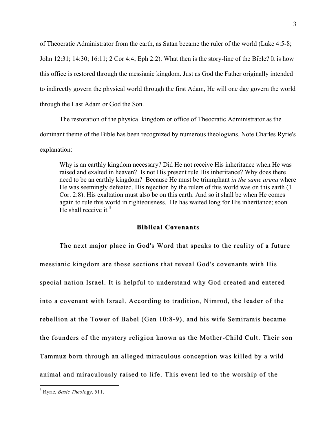of Theocratic Administrator from the earth, as Satan became the ruler of the world (Luke 4:5-8; John 12:31; 14:30; 16:11; 2 Cor 4:4; Eph 2:2). What then is the story-line of the Bible? It is how this office is restored through the messianic kingdom. Just as God the Father originally intended to indirectly govern the physical world through the first Adam, He will one day govern the world through the Last Adam or God the Son.

The restoration of the physical kingdom or office of Theocratic Administrator as the dominant theme of the Bible has been recognized by numerous theologians. Note Charles Ryrie's explanation:

Why is an earthly kingdom necessary? Did He not receive His inheritance when He was raised and exalted in heaven? Is not His present rule His inheritance? Why does there need to be an earthly kingdom? Because He must be triumphant *in the same arena* where He was seemingly defeated. His rejection by the rulers of this world was on this earth (1 Cor. 2:8). His exaltation must also be on this earth. And so it shall be when He comes again to rule this world in righteousness. He has waited long for His inheritance; soon He shall receive it  $3$ 

## **Biblical Covenants**

The next major place in God's Word that speaks to the reality of a future messianic kingdom are those sections that reveal God's covenants with His special nation Israel. It is helpful to understand why God created and entered into a covenant with Israel. According to tradition, Nimrod, the leader of the rebellion at the Tower of Babel (Gen 10:8-9), and his wife Semiramis became the founders of the mystery religion known as the Mother-Child Cult. Their son Tammuz born through an alleged miraculous conception was killed by a wild animal and miraculously raised to life. This event led to the worship of the

 <sup>3</sup> Ryrie, *Basic Theology*, 511.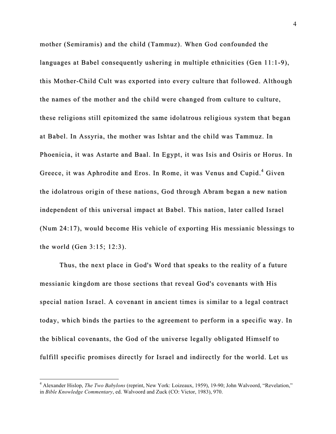mother (Semiramis) and the child (Tammuz). When God confounded the languages at Babel consequently ushering in multiple ethnicities (Gen  $11:1-9$ ), this Mother-Child Cult was exported into every culture that followed. Although the names of the mother and the child were changed from culture to culture, these religions still epitomized the same idolatrous religious system that began at Babel. In Assyria, the mother was Ishtar and the child was Tammuz. In Phoenicia, it was Astarte and Baal. In Egypt, it was Isis and Osiris or Horus. In Greece, it was Aphrodite and Eros. In Rome, it was Venus and Cupid.<sup>4</sup> Given the idolatrous origin of these nations, God through Abram began a new nation independent of this universal impact at Babel. This nation, later called Israel (Num 24:17), would become His vehicle of exporting His messianic blessings to the world (Gen  $3:15; 12:3$ ).

Thus, the next place in God's Word that speaks to the reality of a future messianic kingdom are those sections that reveal God's covenants with His special nation Israel. A covenant in ancient times is similar to a legal contract today, which binds the parties to the agreement to perform in a specific way. In the biblical covenants, the God of the universe legally obligated Himself to fulfill specific promises directly for Israel and indirectly for the world. Let us

 <sup>4</sup> Alexander Hislop, *The Two Babylons* (reprint, New York: Loizeaux, 1959), 19-90; John Walvoord, "Revelation," in *Bible Knowledge Commentary*, ed. Walvoord and Zuck (CO: Victor, 1983), 970.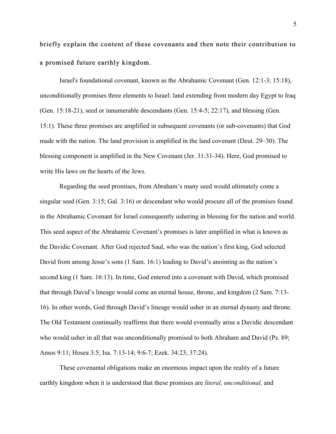briefly explain the content of these covenants and then note their contribution to a promised future earthly kingdom.

Israel's foundational covenant, known as the Abrahamic Covenant (Gen. 12:1-3; 15:18), unconditionally promises three elements to Israel: land extending from modern day Egypt to Iraq (Gen. 15:18-21), seed or innumerable descendants (Gen. 15:4-5; 22:17), and blessing (Gen. 15:1). These three promises are amplified in subsequent covenants (or sub-covenants) that God made with the nation. The land provision is amplified in the land covenant (Deut. 29–30). The blessing component is amplified in the New Covenant (Jer. 31:31-34). Here, God promised to write His laws on the hearts of the Jews.

Regarding the seed promises, from Abraham's many seed would ultimately come a singular seed (Gen. 3:15; Gal. 3:16) or descendant who would procure all of the promises found in the Abrahamic Covenant for Israel consequently ushering in blessing for the nation and world. This seed aspect of the Abrahamic Covenant's promises is later amplified in what is known as the Davidic Covenant. After God rejected Saul, who was the nation's first king, God selected David from among Jesse's sons (1 Sam. 16:1) leading to David's anointing as the nation's second king (1 Sam. 16:13). In time, God entered into a covenant with David, which promised that through David's lineage would come an eternal house, throne, and kingdom (2 Sam. 7:13- 16). In other words, God through David's lineage would usher in an eternal dynasty and throne. The Old Testament continually reaffirms that there would eventually arise a Davidic descendant who would usher in all that was unconditionally promised to both Abraham and David (Ps. 89; Amos 9:11; Hosea 3:5; Isa. 7:13-14; 9:6-7; Ezek. 34:23; 37:24).

These covenantal obligations make an enormous impact upon the reality of a future earthly kingdom when it is understood that these promises are *literal, unconditional,* and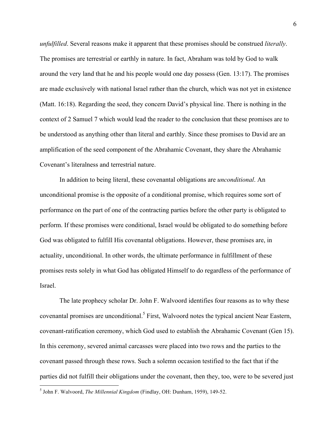*unfulfilled*. Several reasons make it apparent that these promises should be construed *literally*. The promises are terrestrial or earthly in nature. In fact, Abraham was told by God to walk around the very land that he and his people would one day possess (Gen. 13:17). The promises are made exclusively with national Israel rather than the church, which was not yet in existence (Matt. 16:18). Regarding the seed, they concern David's physical line. There is nothing in the context of 2 Samuel 7 which would lead the reader to the conclusion that these promises are to be understood as anything other than literal and earthly. Since these promises to David are an amplification of the seed component of the Abrahamic Covenant, they share the Abrahamic Covenant's literalness and terrestrial nature.

In addition to being literal, these covenantal obligations are *unconditional*. An unconditional promise is the opposite of a conditional promise, which requires some sort of performance on the part of one of the contracting parties before the other party is obligated to perform. If these promises were conditional, Israel would be obligated to do something before God was obligated to fulfill His covenantal obligations. However, these promises are, in actuality, unconditional. In other words, the ultimate performance in fulfillment of these promises rests solely in what God has obligated Himself to do regardless of the performance of Israel.

The late prophecy scholar Dr. John F. Walvoord identifies four reasons as to why these covenantal promises are unconditional.<sup>5</sup> First, Walvoord notes the typical ancient Near Eastern, covenant-ratification ceremony, which God used to establish the Abrahamic Covenant (Gen 15). In this ceremony, severed animal carcasses were placed into two rows and the parties to the covenant passed through these rows. Such a solemn occasion testified to the fact that if the parties did not fulfill their obligations under the covenant, then they, too, were to be severed just

 <sup>5</sup> John F. Walvoord, *The Millennial Kingdom* (Findlay, OH: Dunham, 1959), 149-52.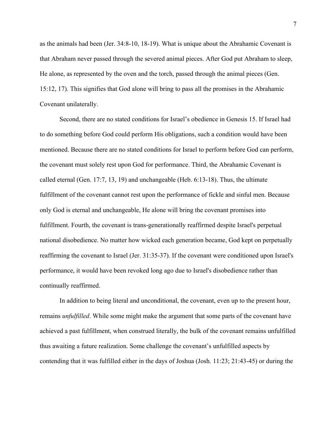as the animals had been (Jer. 34:8-10, 18-19). What is unique about the Abrahamic Covenant is that Abraham never passed through the severed animal pieces. After God put Abraham to sleep, He alone, as represented by the oven and the torch, passed through the animal pieces (Gen. 15:12, 17). This signifies that God alone will bring to pass all the promises in the Abrahamic Covenant unilaterally.

Second, there are no stated conditions for Israel's obedience in Genesis 15. If Israel had to do something before God could perform His obligations, such a condition would have been mentioned. Because there are no stated conditions for Israel to perform before God can perform, the covenant must solely rest upon God for performance. Third, the Abrahamic Covenant is called eternal (Gen. 17:7, 13, 19) and unchangeable (Heb. 6:13-18). Thus, the ultimate fulfillment of the covenant cannot rest upon the performance of fickle and sinful men. Because only God is eternal and unchangeable, He alone will bring the covenant promises into fulfillment. Fourth, the covenant is trans-generationally reaffirmed despite Israel's perpetual national disobedience. No matter how wicked each generation became, God kept on perpetually reaffirming the covenant to Israel (Jer. 31:35-37). If the covenant were conditioned upon Israel's performance, it would have been revoked long ago due to Israel's disobedience rather than continually reaffirmed.

In addition to being literal and unconditional, the covenant, even up to the present hour, remains *unfulfilled*. While some might make the argument that some parts of the covenant have achieved a past fulfillment, when construed literally, the bulk of the covenant remains unfulfilled thus awaiting a future realization. Some challenge the covenant's unfulfilled aspects by contending that it was fulfilled either in the days of Joshua (Josh. 11:23; 21:43-45) or during the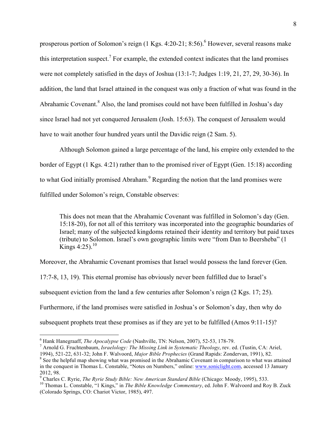prosperous portion of Solomon's reign  $(1 \text{ Kgs}, 4:20-21; 8:56)$ . However, several reasons make this interpretation suspect.<sup>7</sup> For example, the extended context indicates that the land promises were not completely satisfied in the days of Joshua (13:1-7; Judges 1:19, 21, 27, 29, 30-36). In addition, the land that Israel attained in the conquest was only a fraction of what was found in the Abrahamic Covenant.<sup>8</sup> Also, the land promises could not have been fulfilled in Joshua's day since Israel had not yet conquered Jerusalem (Josh. 15:63). The conquest of Jerusalem would have to wait another four hundred years until the Davidic reign (2 Sam. 5).

Although Solomon gained a large percentage of the land, his empire only extended to the border of Egypt (1 Kgs. 4:21) rather than to the promised river of Egypt (Gen. 15:18) according to what God initially promised Abraham.<sup>9</sup> Regarding the notion that the land promises were fulfilled under Solomon's reign, Constable observes:

This does not mean that the Abrahamic Covenant was fulfilled in Solomon's day (Gen. 15:18-20), for not all of this territory was incorporated into the geographic boundaries of Israel; many of the subjected kingdoms retained their identity and territory but paid taxes (tribute) to Solomon. Israel's own geographic limits were "from Dan to Beersheba" (1 Kings  $4:25$ ).<sup>10</sup>

Moreover, the Abrahamic Covenant promises that Israel would possess the land forever (Gen.

17:7-8, 13, 19). This eternal promise has obviously never been fulfilled due to Israel's subsequent eviction from the land a few centuries after Solomon's reign (2 Kgs. 17; 25). Furthermore, if the land promises were satisfied in Joshua's or Solomon's day, then why do subsequent prophets treat these promises as if they are yet to be fulfilled (Amos 9:11-15)?

<sup>&</sup>lt;sup>6</sup> Hank Hanegraaff, *The Apocalypse Code* (Nashville, TN: Nelson, 2007), 52-53, 178-79.<br><sup>7</sup> Arnold G. Fruchtenbaum, *Israelology: The Missing Link in Systematic Theology*, rev. ed. (Tustin, CA: Ariel,

<sup>1994), 521-22, 631-32;</sup> John F. Walvoord, *Major Bible Prophecies* (Grand Rapids: Zondervan, 1991), 82.<br><sup>8</sup> See the helpful map showing what was promised in the Abrahamic Covenant in comparison to what was attained in the conquest in Thomas L. Constable, "Notes on Numbers," online: www.soniclight.com, accessed 13 January 2012, 98.<br><sup>9</sup> Charles C. Ryrie, *The Ryrie Study Bible: New American Standard Bible* (Chicago: Moody, 1995), 533.

<sup>&</sup>lt;sup>10</sup> Thomas L. Constable, "1 Kings," in *The Bible Knowledge Commentary*, ed. John F. Walvoord and Roy B. Zuck (Colorado Springs, CO: Chariot Victor, 1985), 497.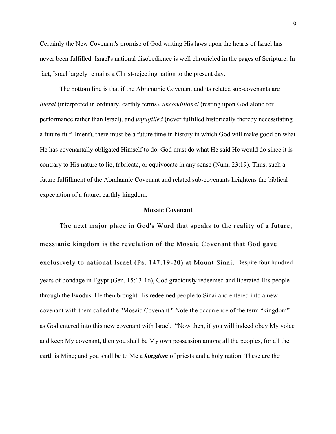Certainly the New Covenant's promise of God writing His laws upon the hearts of Israel has never been fulfilled. Israel's national disobedience is well chronicled in the pages of Scripture. In fact, Israel largely remains a Christ-rejecting nation to the present day.

The bottom line is that if the Abrahamic Covenant and its related sub-covenants are *literal* (interpreted in ordinary, earthly terms), *unconditional* (resting upon God alone for performance rather than Israel), and *unfulfilled* (never fulfilled historically thereby necessitating a future fulfillment), there must be a future time in history in which God will make good on what He has covenantally obligated Himself to do. God must do what He said He would do since it is contrary to His nature to lie, fabricate, or equivocate in any sense (Num. 23:19). Thus, such a future fulfillment of the Abrahamic Covenant and related sub-covenants heightens the biblical expectation of a future, earthly kingdom.

### **Mosaic Covenant**

The next major place in God's Word that speaks to the reality of a future, messianic kingdom is the revelation of the Mosaic Covenant that God gave exclusively to national Israel (Ps. 147:19-20) at Mount Sinai. Despite four hundred years of bondage in Egypt (Gen. 15:13-16), God graciously redeemed and liberated His people through the Exodus. He then brought His redeemed people to Sinai and entered into a new covenant with them called the "Mosaic Covenant." Note the occurrence of the term "kingdom" as God entered into this new covenant with Israel. "Now then, if you will indeed obey My voice and keep My covenant, then you shall be My own possession among all the peoples, for all the earth is Mine; and you shall be to Me a *kingdom* of priests and a holy nation. These are the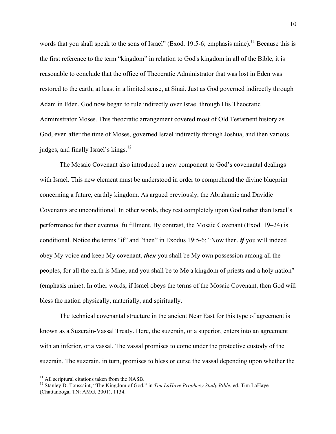words that you shall speak to the sons of Israel" (Exod. 19:5-6; emphasis mine).<sup>11</sup> Because this is the first reference to the term "kingdom" in relation to God's kingdom in all of the Bible, it is reasonable to conclude that the office of Theocratic Administrator that was lost in Eden was restored to the earth, at least in a limited sense, at Sinai. Just as God governed indirectly through Adam in Eden, God now began to rule indirectly over Israel through His Theocratic Administrator Moses. This theocratic arrangement covered most of Old Testament history as God, even after the time of Moses, governed Israel indirectly through Joshua, and then various judges, and finally Israel's kings. $12$ 

The Mosaic Covenant also introduced a new component to God's covenantal dealings with Israel. This new element must be understood in order to comprehend the divine blueprint concerning a future, earthly kingdom. As argued previously, the Abrahamic and Davidic Covenants are unconditional. In other words, they rest completely upon God rather than Israel's performance for their eventual fulfillment. By contrast, the Mosaic Covenant (Exod. 19‒24) is conditional. Notice the terms "if" and "then" in Exodus 19:5-6: "Now then, *if* you will indeed obey My voice and keep My covenant, *then* you shall be My own possession among all the peoples, for all the earth is Mine; and you shall be to Me a kingdom of priests and a holy nation" (emphasis mine). In other words, if Israel obeys the terms of the Mosaic Covenant, then God will bless the nation physically, materially, and spiritually.

The technical covenantal structure in the ancient Near East for this type of agreement is known as a Suzerain-Vassal Treaty. Here, the suzerain, or a superior, enters into an agreement with an inferior, or a vassal. The vassal promises to come under the protective custody of the suzerain. The suzerain, in turn, promises to bless or curse the vassal depending upon whether the

<sup>&</sup>lt;sup>11</sup> All scriptural citations taken from the NASB.<br><sup>12</sup> Stanley D. Toussaint, "The Kingdom of God," in *Tim LaHaye Prophecy Study Bible*, ed. Tim LaHaye (Chattanooga, TN: AMG, 2001), 1134.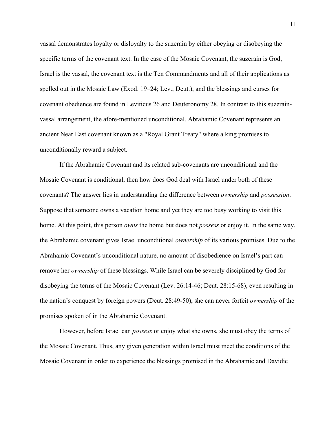vassal demonstrates loyalty or disloyalty to the suzerain by either obeying or disobeying the specific terms of the covenant text. In the case of the Mosaic Covenant, the suzerain is God, Israel is the vassal, the covenant text is the Ten Commandments and all of their applications as spelled out in the Mosaic Law (Exod.  $19-24$ ; Lev.; Deut.), and the blessings and curses for covenant obedience are found in Leviticus 26 and Deuteronomy 28. In contrast to this suzerainvassal arrangement, the afore-mentioned unconditional, Abrahamic Covenant represents an ancient Near East covenant known as a "Royal Grant Treaty" where a king promises to unconditionally reward a subject.

If the Abrahamic Covenant and its related sub-covenants are unconditional and the Mosaic Covenant is conditional, then how does God deal with Israel under both of these covenants? The answer lies in understanding the difference between *ownership* and *possession*. Suppose that someone owns a vacation home and yet they are too busy working to visit this home. At this point, this person *owns* the home but does not *possess* or enjoy it. In the same way, the Abrahamic covenant gives Israel unconditional *ownership* of its various promises. Due to the Abrahamic Covenant's unconditional nature, no amount of disobedience on Israel's part can remove her *ownership* of these blessings. While Israel can be severely disciplined by God for disobeying the terms of the Mosaic Covenant (Lev. 26:14-46; Deut. 28:15-68), even resulting in the nation's conquest by foreign powers (Deut. 28:49-50), she can never forfeit *ownership* of the promises spoken of in the Abrahamic Covenant.

However, before Israel can *possess* or enjoy what she owns, she must obey the terms of the Mosaic Covenant. Thus, any given generation within Israel must meet the conditions of the Mosaic Covenant in order to experience the blessings promised in the Abrahamic and Davidic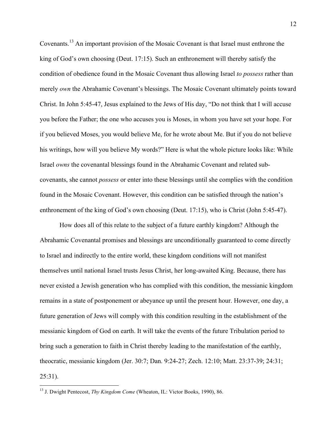Covenants.<sup>13</sup> An important provision of the Mosaic Covenant is that Israel must enthrone the king of God's own choosing (Deut. 17:15). Such an enthronement will thereby satisfy the condition of obedience found in the Mosaic Covenant thus allowing Israel *to possess* rather than merely *own* the Abrahamic Covenant's blessings. The Mosaic Covenant ultimately points toward Christ. In John 5:45-47, Jesus explained to the Jews of His day, "Do not think that I will accuse you before the Father; the one who accuses you is Moses, in whom you have set your hope. For if you believed Moses, you would believe Me, for he wrote about Me. But if you do not believe his writings, how will you believe My words?" Here is what the whole picture looks like: While Israel *owns* the covenantal blessings found in the Abrahamic Covenant and related subcovenants, she cannot *possess* or enter into these blessings until she complies with the condition found in the Mosaic Covenant. However, this condition can be satisfied through the nation's enthronement of the king of God's own choosing (Deut. 17:15), who is Christ (John 5:45-47).

How does all of this relate to the subject of a future earthly kingdom? Although the Abrahamic Covenantal promises and blessings are unconditionally guaranteed to come directly to Israel and indirectly to the entire world, these kingdom conditions will not manifest themselves until national Israel trusts Jesus Christ, her long-awaited King. Because, there has never existed a Jewish generation who has complied with this condition, the messianic kingdom remains in a state of postponement or abeyance up until the present hour. However, one day, a future generation of Jews will comply with this condition resulting in the establishment of the messianic kingdom of God on earth. It will take the events of the future Tribulation period to bring such a generation to faith in Christ thereby leading to the manifestation of the earthly, theocratic, messianic kingdom (Jer. 30:7; Dan. 9:24-27; Zech. 12:10; Matt. 23:37-39; 24:31; 25:31).

 <sup>13</sup> J. Dwight Pentecost, *Thy Kingdom Come* (Wheaton, IL: Victor Books, 1990), 86.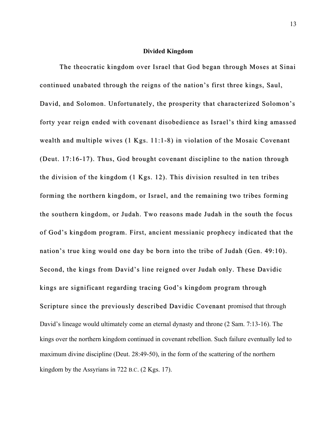## **Divided Kingdom**

The theocratic kingdom over Israel that God began through Moses at Sinai continued unabated through the reigns of the nation's first three kings, Saul, continued unabated through the reigns of the nation's first three kings, Saul, David, and Solomon. Unfortunately, the prosperity that characterized Solomon's forty year reign ended with covenant disobedience as Israel's third king amassed wealth and multiple wives  $(1 \text{ Kgs. } 11:1-8)$  in violation of the Mosaic Covenant (Deut. 17:16-17). Thus, God brought covenant discipline to the nation through the division of the kingdom  $(1 \text{ Kgs. } 12)$ . This division resulted in ten tribes forming the northern kingdom, or Israel, and the remaining two tribes forming the southern kingdom, or Judah. Two reasons made Judah in the south the focus of God's kingdom program. First, ancient messianic prophecy indicated that the nation's true king would one day be born into the tribe of Judah (Gen. 49:10). Second, the kings from David's line reigned over Judah only. These Davidic kings are significant regarding tracing God's kingdom program through Scripture since the previously described Davidic Covenant promised that through David's lineage would ultimately come an eternal dynasty and throne (2 Sam. 7:13-16). The kings over the northern kingdom continued in covenant rebellion. Such failure eventually led to maximum divine discipline (Deut. 28:49-50), in the form of the scattering of the northern kingdom by the Assyrians in 722 B.C. (2 Kgs. 17).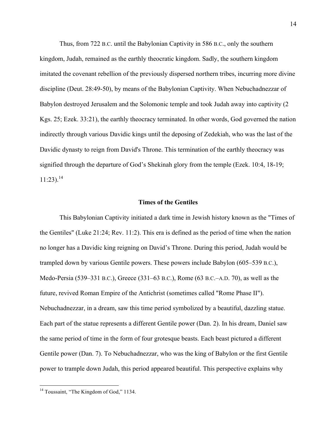Thus, from 722 B.C. until the Babylonian Captivity in 586 B.C., only the southern kingdom, Judah, remained as the earthly theocratic kingdom. Sadly, the southern kingdom imitated the covenant rebellion of the previously dispersed northern tribes, incurring more divine discipline (Deut. 28:49-50), by means of the Babylonian Captivity. When Nebuchadnezzar of Babylon destroyed Jerusalem and the Solomonic temple and took Judah away into captivity (2 Kgs. 25; Ezek. 33:21), the earthly theocracy terminated. In other words, God governed the nation indirectly through various Davidic kings until the deposing of Zedekiah, who was the last of the Davidic dynasty to reign from David's Throne. This termination of the earthly theocracy was signified through the departure of God's Shekinah glory from the temple (Ezek. 10:4, 18-19;  $11:23$ ).<sup>14</sup>

## **Times of the Gentiles**

This Babylonian Captivity initiated a dark time in Jewish history known as the "Times of the Gentiles" (Luke 21:24; Rev. 11:2). This era is defined as the period of time when the nation no longer has a Davidic king reigning on David's Throne. During this period, Judah would be trampled down by various Gentile powers. These powers include Babylon (605–539 B.C.), Medo-Persia (539–331 B.C.), Greece (331–63 B.C.), Rome (63 B.C.–A.D. 70), as well as the future, revived Roman Empire of the Antichrist (sometimes called "Rome Phase II"). Nebuchadnezzar, in a dream, saw this time period symbolized by a beautiful, dazzling statue. Each part of the statue represents a different Gentile power (Dan. 2). In his dream, Daniel saw the same period of time in the form of four grotesque beasts. Each beast pictured a different Gentile power (Dan. 7). To Nebuchadnezzar, who was the king of Babylon or the first Gentile power to trample down Judah, this period appeared beautiful. This perspective explains why

<sup>&</sup>lt;sup>14</sup> Toussaint, "The Kingdom of God," 1134.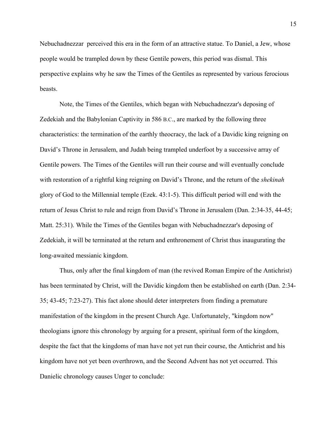Nebuchadnezzar perceived this era in the form of an attractive statue. To Daniel, a Jew, whose people would be trampled down by these Gentile powers, this period was dismal. This perspective explains why he saw the Times of the Gentiles as represented by various ferocious beasts.

Note, the Times of the Gentiles, which began with Nebuchadnezzar's deposing of Zedekiah and the Babylonian Captivity in 586 B.C., are marked by the following three characteristics: the termination of the earthly theocracy, the lack of a Davidic king reigning on David's Throne in Jerusalem, and Judah being trampled underfoot by a successive array of Gentile powers. The Times of the Gentiles will run their course and will eventually conclude with restoration of a rightful king reigning on David's Throne, and the return of the *shekinah* glory of God to the Millennial temple (Ezek. 43:1-5). This difficult period will end with the return of Jesus Christ to rule and reign from David's Throne in Jerusalem (Dan. 2:34-35, 44-45; Matt. 25:31). While the Times of the Gentiles began with Nebuchadnezzar's deposing of Zedekiah, it will be terminated at the return and enthronement of Christ thus inaugurating the long-awaited messianic kingdom.

Thus, only after the final kingdom of man (the revived Roman Empire of the Antichrist) has been terminated by Christ, will the Davidic kingdom then be established on earth (Dan. 2:34- 35; 43-45; 7:23-27). This fact alone should deter interpreters from finding a premature manifestation of the kingdom in the present Church Age. Unfortunately, "kingdom now" theologians ignore this chronology by arguing for a present, spiritual form of the kingdom, despite the fact that the kingdoms of man have not yet run their course, the Antichrist and his kingdom have not yet been overthrown, and the Second Advent has not yet occurred. This Danielic chronology causes Unger to conclude: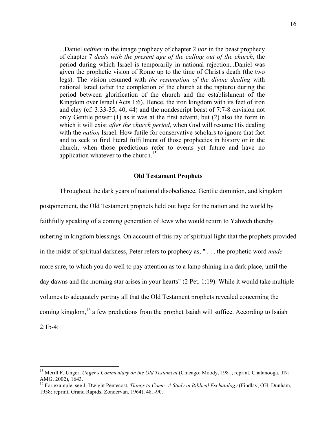...Daniel *neither* in the image prophecy of chapter 2 *nor* in the beast prophecy of chapter 7 *deals with the present age of the calling out of the church*, the period during which Israel is temporarily in national rejection...Daniel was given the prophetic vision of Rome up to the time of Christ's death (the two legs). The vision resumed with *the resumption of the divine dealing* with national Israel (after the completion of the church at the rapture) during the period between glorification of the church and the establishment of the Kingdom over Israel (Acts 1:6). Hence, the iron kingdom with its feet of iron and clay (cf. 3:33-35, 40, 44) and the nondescript beast of 7:7-8 envision not only Gentile power (1) as it was at the first advent, but (2) also the form in which it will exist *after the church period*, when God will resume His dealing with the *nation* Israel. How futile for conservative scholars to ignore that fact and to seek to find literal fulfillment of those prophecies in history or in the church, when those predictions refer to events yet future and have no application whatever to the church.<sup>15</sup>

# **Old Testament Prophets**

Throughout the dark years of national disobedience, Gentile dominion, and kingdom postponement, the Old Testament prophets held out hope for the nation and the world by faithfully speaking of a coming generation of Jews who would return to Yahweh thereby ushering in kingdom blessings. On account of this ray of spiritual light that the prophets provided in the midst of spiritual darkness, Peter refers to prophecy as, " . . . the prophetic word *made* more sure, to which you do well to pay attention as to a lamp shining in a dark place, until the day dawns and the morning star arises in your hearts" (2 Pet. 1:19). While it would take multiple volumes to adequately portray all that the Old Testament prophets revealed concerning the coming kingdom,<sup>16</sup> a few predictions from the prophet Isaiah will suffice. According to Isaiah  $2:1b-4:$ 

 <sup>15</sup> Merill F. Unger, *Unger's Commentary on the Old Testament* (Chicago: Moody, 1981; reprint, Chatanooga, TN: AMG, 2002), 1643.

<sup>16</sup> For example, see J. Dwight Pentecost, *Things to Come: A Study in Biblical Eschatology* (Findlay, OH: Dunham, 1958; reprint, Grand Rapids, Zondervan, 1964), 481-90.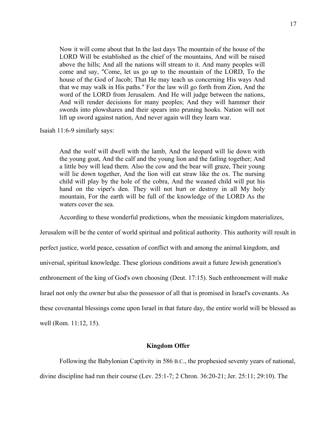Now it will come about that In the last days The mountain of the house of the LORD Will be established as the chief of the mountains, And will be raised above the hills; And all the nations will stream to it. And many peoples will come and say, "Come, let us go up to the mountain of the LORD, To the house of the God of Jacob; That He may teach us concerning His ways And that we may walk in His paths." For the law will go forth from Zion, And the word of the LORD from Jerusalem. And He will judge between the nations, And will render decisions for many peoples; And they will hammer their swords into plowshares and their spears into pruning hooks. Nation will not lift up sword against nation, And never again will they learn war.

Isaiah 11:6-9 similarly says:

And the wolf will dwell with the lamb, And the leopard will lie down with the young goat, And the calf and the young lion and the fatling together; And a little boy will lead them. Also the cow and the bear will graze, Their young will lie down together, And the lion will eat straw like the ox. The nursing child will play by the hole of the cobra, And the weaned child will put his hand on the viper's den. They will not hurt or destroy in all My holy mountain, For the earth will be full of the knowledge of the LORD As the waters cover the sea.

According to these wonderful predictions, when the messianic kingdom materializes,

Jerusalem will be the center of world spiritual and political authority. This authority will result in perfect justice, world peace, cessation of conflict with and among the animal kingdom, and universal, spiritual knowledge. These glorious conditions await a future Jewish generation's enthronement of the king of God's own choosing (Deut. 17:15). Such enthronement will make Israel not only the owner but also the possessor of all that is promised in Israel's covenants. As these covenantal blessings come upon Israel in that future day, the entire world will be blessed as well (Rom. 11:12, 15).

## **Kingdom Offer**

Following the Babylonian Captivity in 586 B.C., the prophesied seventy years of national, divine discipline had run their course (Lev. 25:1-7; 2 Chron. 36:20-21; Jer. 25:11; 29:10). The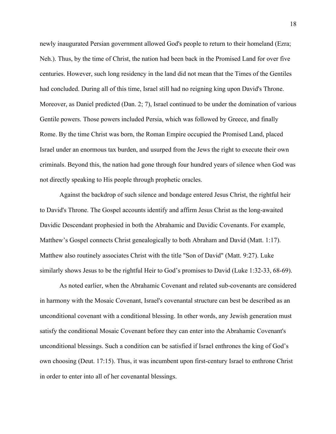newly inaugurated Persian government allowed God's people to return to their homeland (Ezra; Neh.). Thus, by the time of Christ, the nation had been back in the Promised Land for over five centuries. However, such long residency in the land did not mean that the Times of the Gentiles had concluded. During all of this time, Israel still had no reigning king upon David's Throne. Moreover, as Daniel predicted (Dan. 2; 7), Israel continued to be under the domination of various Gentile powers. Those powers included Persia, which was followed by Greece, and finally Rome. By the time Christ was born, the Roman Empire occupied the Promised Land, placed Israel under an enormous tax burden, and usurped from the Jews the right to execute their own criminals. Beyond this, the nation had gone through four hundred years of silence when God was not directly speaking to His people through prophetic oracles.

Against the backdrop of such silence and bondage entered Jesus Christ, the rightful heir to David's Throne. The Gospel accounts identify and affirm Jesus Christ as the long-awaited Davidic Descendant prophesied in both the Abrahamic and Davidic Covenants. For example, Matthew's Gospel connects Christ genealogically to both Abraham and David (Matt. 1:17). Matthew also routinely associates Christ with the title "Son of David" (Matt. 9:27). Luke similarly shows Jesus to be the rightful Heir to God's promises to David (Luke 1:32-33, 68-69).

As noted earlier, when the Abrahamic Covenant and related sub-covenants are considered in harmony with the Mosaic Covenant, Israel's covenantal structure can best be described as an unconditional covenant with a conditional blessing. In other words, any Jewish generation must satisfy the conditional Mosaic Covenant before they can enter into the Abrahamic Covenant's unconditional blessings. Such a condition can be satisfied if Israel enthrones the king of God's own choosing (Deut. 17:15). Thus, it was incumbent upon first-century Israel to enthrone Christ in order to enter into all of her covenantal blessings.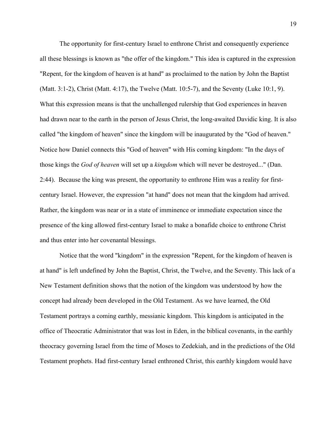The opportunity for first-century Israel to enthrone Christ and consequently experience all these blessings is known as "the offer of the kingdom." This idea is captured in the expression "Repent, for the kingdom of heaven is at hand" as proclaimed to the nation by John the Baptist (Matt. 3:1-2), Christ (Matt. 4:17), the Twelve (Matt. 10:5-7), and the Seventy (Luke 10:1, 9). What this expression means is that the unchallenged rulership that God experiences in heaven had drawn near to the earth in the person of Jesus Christ, the long-awaited Davidic king. It is also called "the kingdom of heaven" since the kingdom will be inaugurated by the "God of heaven." Notice how Daniel connects this "God of heaven" with His coming kingdom: "In the days of those kings the *God of heaven* will set up a *kingdom* which will never be destroyed..." (Dan. 2:44). Because the king was present, the opportunity to enthrone Him was a reality for firstcentury Israel. However, the expression "at hand" does not mean that the kingdom had arrived. Rather, the kingdom was near or in a state of imminence or immediate expectation since the presence of the king allowed first-century Israel to make a bonafide choice to enthrone Christ and thus enter into her covenantal blessings.

Notice that the word "kingdom" in the expression "Repent, for the kingdom of heaven is at hand" is left undefined by John the Baptist, Christ, the Twelve, and the Seventy. This lack of a New Testament definition shows that the notion of the kingdom was understood by how the concept had already been developed in the Old Testament. As we have learned, the Old Testament portrays a coming earthly, messianic kingdom. This kingdom is anticipated in the office of Theocratic Administrator that was lost in Eden, in the biblical covenants, in the earthly theocracy governing Israel from the time of Moses to Zedekiah, and in the predictions of the Old Testament prophets. Had first-century Israel enthroned Christ, this earthly kingdom would have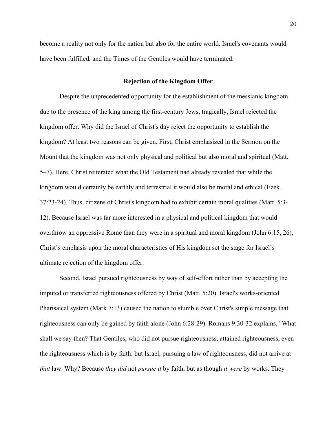become a reality not only for the nation but also for the entire world. Israel's covenants would have been fulfilled, and the Times of the Gentiles would have terminated.

## **Rejection of the Kingdom Offer**

Despite the unprecedented opportunity for the establishment of the messianic kingdom due to the presence of the king among the first-century Jews, tragically, Israel rejected the kingdom offer. Why did the Israel of Christ's day reject the opportunity to establish the kingdom? At least two reasons can be given. First, Christ emphasized in the Sermon on the Mount that the kingdom was not only physical and political but also moral and spiritual (Matt. 5‒7). Here, Christ reiterated what the Old Testament had already revealed that while the kingdom would certainly be earthly and terrestrial it would also be moral and ethical (Ezek. 37:23-24). Thus, citizens of Christ's kingdom had to exhibit certain moral qualities (Matt. 5:3- 12). Because Israel was far more interested in a physical and political kingdom that would overthrow an oppressive Rome than they were in a spiritual and moral kingdom (John 6:15, 26), Christ's emphasis upon the moral characteristics of His kingdom set the stage for Israel's ultimate rejection of the kingdom offer.

Second, Israel pursued righteousness by way of self-effort rather than by accepting the imputed or transferred righteousness offered by Christ (Matt. 5:20). Israel's works-oriented Pharisaical system (Mark 7:13) caused the nation to stumble over Christ's simple message that righteousness can only be gained by faith alone (John 6:28-29). Romans 9:30-32 explains, "What shall we say then? That Gentiles, who did not pursue righteousness, attained righteousness, even the righteousness which is by faith; but Israel, pursuing a law of righteousness, did not arrive at *that* law. Why? Because *they did* not *pursue it* by faith, but as though *it were* by works. They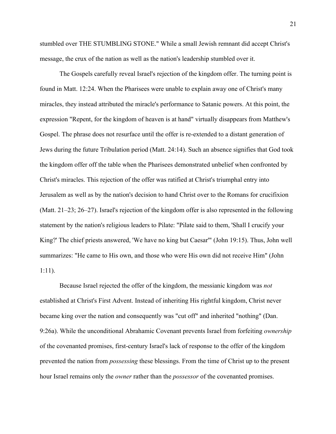stumbled over THE STUMBLING STONE." While a small Jewish remnant did accept Christ's message, the crux of the nation as well as the nation's leadership stumbled over it.

The Gospels carefully reveal Israel's rejection of the kingdom offer. The turning point is found in Matt. 12:24. When the Pharisees were unable to explain away one of Christ's many miracles, they instead attributed the miracle's performance to Satanic powers. At this point, the expression "Repent, for the kingdom of heaven is at hand" virtually disappears from Matthew's Gospel. The phrase does not resurface until the offer is re-extended to a distant generation of Jews during the future Tribulation period (Matt. 24:14). Such an absence signifies that God took the kingdom offer off the table when the Pharisees demonstrated unbelief when confronted by Christ's miracles. This rejection of the offer was ratified at Christ's triumphal entry into Jerusalem as well as by the nation's decision to hand Christ over to the Romans for crucifixion (Matt. 21–23; 26–27). Israel's rejection of the kingdom offer is also represented in the following statement by the nation's religious leaders to Pilate: "Pilate said to them, 'Shall I crucify your King?' The chief priests answered, 'We have no king but Caesar'" (John 19:15). Thus, John well summarizes: "He came to His own, and those who were His own did not receive Him" (John 1:11).

Because Israel rejected the offer of the kingdom, the messianic kingdom was *not* established at Christ's First Advent. Instead of inheriting His rightful kingdom, Christ never became king over the nation and consequently was "cut off" and inherited "nothing" (Dan. 9:26a). While the unconditional Abrahamic Covenant prevents Israel from forfeiting *ownership* of the covenanted promises, first-century Israel's lack of response to the offer of the kingdom prevented the nation from *possessing* these blessings. From the time of Christ up to the present hour Israel remains only the *owner* rather than the *possessor* of the covenanted promises.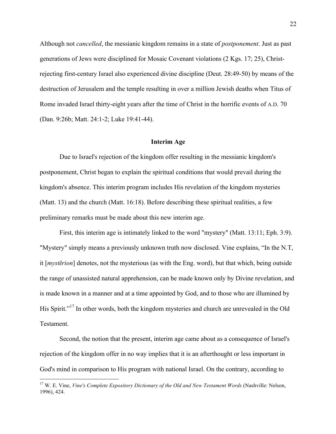Although not *cancelled*, the messianic kingdom remains in a state of *postponement*. Just as past generations of Jews were disciplined for Mosaic Covenant violations (2 Kgs. 17; 25), Christrejecting first-century Israel also experienced divine discipline (Deut. 28:49-50) by means of the destruction of Jerusalem and the temple resulting in over a million Jewish deaths when Titus of Rome invaded Israel thirty-eight years after the time of Christ in the horrific events of A.D. 70 (Dan. 9:26b; Matt. 24:1-2; Luke 19:41-44).

#### **Interim Age**

Due to Israel's rejection of the kingdom offer resulting in the messianic kingdom's postponement, Christ began to explain the spiritual conditions that would prevail during the kingdom's absence. This interim program includes His revelation of the kingdom mysteries (Matt. 13) and the church (Matt. 16:18). Before describing these spiritual realities, a few preliminary remarks must be made about this new interim age.

First, this interim age is intimately linked to the word "mystery" (Matt. 13:11; Eph. 3:9). "Mystery" simply means a previously unknown truth now disclosed. Vine explains, "In the N.T, it [*mystērion*] denotes, not the mysterious (as with the Eng. word), but that which, being outside the range of unassisted natural apprehension, can be made known only by Divine revelation, and is made known in a manner and at a time appointed by God, and to those who are illumined by His Spirit."<sup>17</sup> In other words, both the kingdom mysteries and church are unrevealed in the Old Testament.

Second, the notion that the present, interim age came about as a consequence of Israel's rejection of the kingdom offer in no way implies that it is an afterthought or less important in God's mind in comparison to His program with national Israel. On the contrary, according to

 <sup>17</sup> W. E. Vine, *Vine's Complete Expository Dictionary of the Old and New Testament Words* (Nashville: Nelson, 1996), 424.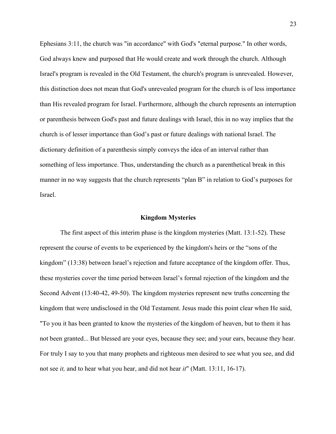Ephesians 3:11, the church was "in accordance" with God's "eternal purpose." In other words, God always knew and purposed that He would create and work through the church. Although Israel's program is revealed in the Old Testament, the church's program is unrevealed. However, this distinction does not mean that God's unrevealed program for the church is of less importance than His revealed program for Israel. Furthermore, although the church represents an interruption or parenthesis between God's past and future dealings with Israel, this in no way implies that the church is of lesser importance than God's past or future dealings with national Israel. The dictionary definition of a parenthesis simply conveys the idea of an interval rather than something of less importance. Thus, understanding the church as a parenthetical break in this manner in no way suggests that the church represents "plan B" in relation to God's purposes for Israel.

## **Kingdom Mysteries**

The first aspect of this interim phase is the kingdom mysteries (Matt. 13:1-52). These represent the course of events to be experienced by the kingdom's heirs or the "sons of the kingdom" (13:38) between Israel's rejection and future acceptance of the kingdom offer. Thus, these mysteries cover the time period between Israel's formal rejection of the kingdom and the Second Advent (13:40-42, 49-50). The kingdom mysteries represent new truths concerning the kingdom that were undisclosed in the Old Testament. Jesus made this point clear when He said, "To you it has been granted to know the mysteries of the kingdom of heaven, but to them it has not been granted... But blessed are your eyes, because they see; and your ears, because they hear. For truly I say to you that many prophets and righteous men desired to see what you see, and did not see *it,* and to hear what you hear, and did not hear *it*" (Matt. 13:11, 16-17).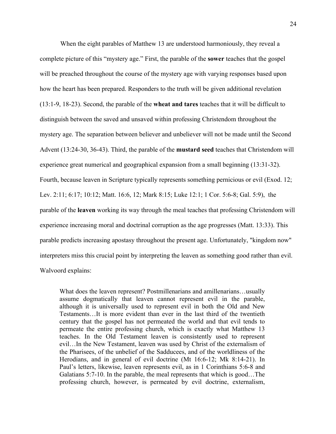When the eight parables of Matthew 13 are understood harmoniously, they reveal a complete picture of this "mystery age." First, the parable of the **sower** teaches that the gospel will be preached throughout the course of the mystery age with varying responses based upon how the heart has been prepared. Responders to the truth will be given additional revelation (13:1-9, 18-23). Second, the parable of the **wheat and tares** teaches that it will be difficult to distinguish between the saved and unsaved within professing Christendom throughout the mystery age. The separation between believer and unbeliever will not be made until the Second Advent (13:24-30, 36-43). Third, the parable of the **mustard seed** teaches that Christendom will experience great numerical and geographical expansion from a small beginning (13:31-32). Fourth, because leaven in Scripture typically represents something pernicious or evil (Exod. 12; Lev. 2:11; 6:17; 10:12; Matt. 16:6, 12; Mark 8:15; Luke 12:1; 1 Cor. 5:6-8; Gal. 5:9), the parable of the **leaven** working its way through the meal teaches that professing Christendom will experience increasing moral and doctrinal corruption as the age progresses (Matt. 13:33). This parable predicts increasing apostasy throughout the present age. Unfortunately, "kingdom now" interpreters miss this crucial point by interpreting the leaven as something good rather than evil. Walvoord explains:

What does the leaven represent? Postmillenarians and amillenarians...usually assume dogmatically that leaven cannot represent evil in the parable, although it is universally used to represent evil in both the Old and New Testaments…It is more evident than ever in the last third of the twentieth century that the gospel has not permeated the world and that evil tends to permeate the entire professing church, which is exactly what Matthew 13 teaches. In the Old Testament leaven is consistently used to represent evil…In the New Testament, leaven was used by Christ of the externalism of the Pharisees, of the unbelief of the Sadducees, and of the worldliness of the Herodians, and in general of evil doctrine (Mt 16:6-12; Mk 8:14-21). In Paul's letters, likewise, leaven represents evil, as in 1 Corinthians 5:6-8 and Galatians 5:7-10. In the parable, the meal represents that which is good…The professing church, however, is permeated by evil doctrine, externalism,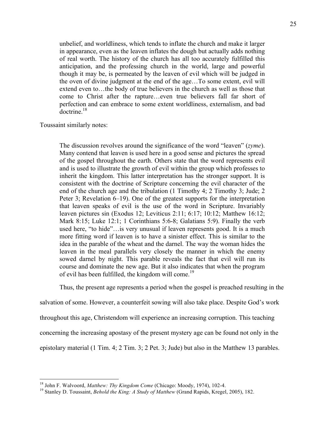unbelief, and worldliness, which tends to inflate the church and make it larger in appearance, even as the leaven inflates the dough but actually adds nothing of real worth. The history of the church has all too accurately fulfilled this anticipation, and the professing church in the world, large and powerful though it may be, is permeated by the leaven of evil which will be judged in the oven of divine judgment at the end of the age…To some extent, evil will extend even to…the body of true believers in the church as well as those that come to Christ after the rapture…even true believers fall far short of perfection and can embrace to some extent worldliness, externalism, and bad doctrine. $18$ 

Toussaint similarly notes:

The discussion revolves around the significance of the word "leaven" (*zyme*). Many contend that leaven is used here in a good sense and pictures the spread of the gospel throughout the earth. Others state that the word represents evil and is used to illustrate the growth of evil within the group which professes to inherit the kingdom. This latter interpretation has the stronger support. It is consistent with the doctrine of Scripture concerning the evil character of the end of the church age and the tribulation (1 Timothy 4; 2 Timothy 3; Jude; 2 Peter 3; Revelation 6–19). One of the greatest supports for the interpretation that leaven speaks of evil is the use of the word in Scripture. Invariably leaven pictures sin (Exodus 12; Leviticus 2:11; 6:17; 10:12; Matthew 16:12; Mark 8:15; Luke 12:1; 1 Corinthians 5:6-8; Galatians 5:9). Finally the verb used here, "to hide"…is very unusual if leaven represents good. It is a much more fitting word if leaven is to have a sinister effect. This is similar to the idea in the parable of the wheat and the darnel. The way the woman hides the leaven in the meal parallels very closely the manner in which the enemy sowed darnel by night. This parable reveals the fact that evil will run its course and dominate the new age. But it also indicates that when the program of evil has been fulfilled, the kingdom will come.<sup>19</sup>

Thus, the present age represents a period when the gospel is preached resulting in the

salvation of some. However, a counterfeit sowing will also take place. Despite God's work

throughout this age, Christendom will experience an increasing corruption. This teaching

concerning the increasing apostasy of the present mystery age can be found not only in the

epistolary material (1 Tim. 4; 2 Tim. 3; 2 Pet. 3; Jude) but also in the Matthew 13 parables.

<sup>&</sup>lt;sup>18</sup> John F. Walvoord, *Matthew: Thy Kingdom Come* (Chicago: Moody, 1974), 102-4.<br><sup>19</sup> Stanley D. Toussaint, *Behold the King: A Study of Matthew* (Grand Rapids, Kregel, 2005), 182.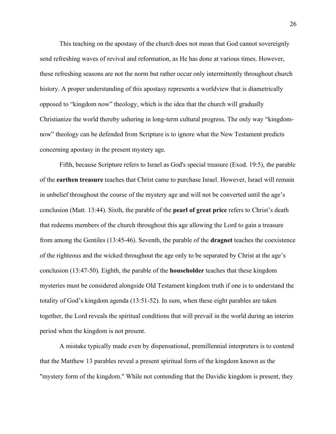This teaching on the apostasy of the church does not mean that God cannot sovereignly send refreshing waves of revival and reformation, as He has done at various times. However, these refreshing seasons are not the norm but rather occur only intermittently throughout church history. A proper understanding of this apostasy represents a worldview that is diametrically opposed to "kingdom now" theology, which is the idea that the church will gradually Christianize the world thereby ushering in long-term cultural progress. The only way "kingdomnow" theology can be defended from Scripture is to ignore what the New Testament predicts concerning apostasy in the present mystery age.

Fifth, because Scripture refers to Israel as God's special treasure (Exod. 19:5), the parable of the **earthen treasure** teaches that Christ came to purchase Israel. However, Israel will remain in unbelief throughout the course of the mystery age and will not be converted until the age's conclusion (Matt. 13:44). Sixth, the parable of the **pearl of great price** refers to Christ's death that redeems members of the church throughout this age allowing the Lord to gain a treasure from among the Gentiles (13:45-46). Seventh, the parable of the **dragnet** teaches the coexistence of the righteous and the wicked throughout the age only to be separated by Christ at the age's conclusion (13:47-50). Eighth, the parable of the **householder** teaches that these kingdom mysteries must be considered alongside Old Testament kingdom truth if one is to understand the totality of God's kingdom agenda (13:51-52). In sum, when these eight parables are taken together, the Lord reveals the spiritual conditions that will prevail in the world during an interim period when the kingdom is not present.

A mistake typically made even by dispensational, premillennial interpreters is to contend that the Matthew 13 parables reveal a present spiritual form of the kingdom known as the "mystery form of the kingdom." While not contending that the Davidic kingdom is present, they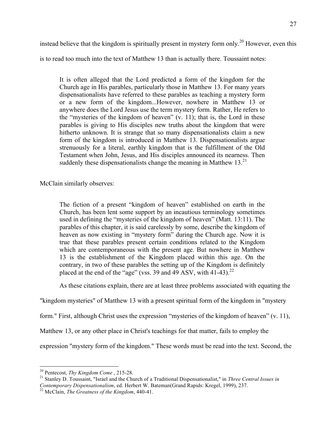instead believe that the kingdom is spiritually present in mystery form only.<sup>20</sup> However, even this

is to read too much into the text of Matthew 13 than is actually there. Toussaint notes:

It is often alleged that the Lord predicted a form of the kingdom for the Church age in His parables, particularly those in Matthew 13. For many years dispensationalists have referred to these parables as teaching a mystery form or a new form of the kingdom...However, nowhere in Matthew 13 or anywhere does the Lord Jesus use the term mystery form. Rather, He refers to the "mysteries of the kingdom of heaven" (v. 11); that is, the Lord in these parables is giving to His disciples new truths about the kingdom that were hitherto unknown. It is strange that so many dispensationalists claim a new form of the kingdom is introduced in Matthew 13. Dispensationalists argue strenuously for a literal, earthly kingdom that is the fulfillment of the Old Testament when John, Jesus, and His disciples announced its nearness. Then suddenly these dispensationalists change the meaning in Matthew  $13<sup>21</sup>$ 

McClain similarly observes:

The fiction of a present "kingdom of heaven" established on earth in the Church, has been lent some support by an incautious terminology sometimes used in defining the "mysteries of the kingdom of heaven" (Matt. 13:11). The parables of this chapter, it is said carelessly by some, describe the kingdom of heaven as now existing in "mystery form" during the Church age. Now it is true that these parables present certain conditions related to the Kingdom which are contemporaneous with the present age. But nowhere in Matthew 13 is the establishment of the Kingdom placed within this age. On the contrary, in two of these parables the setting up of the Kingdom is definitely placed at the end of the "age" (vss. 39 and 49 ASV, with 41-43).<sup>22</sup>

As these citations explain, there are at least three problems associated with equating the

"kingdom mysteries" of Matthew 13 with a present spiritual form of the kingdom in "mystery

form." First, although Christ uses the expression "mysteries of the kingdom of heaven" (v. 11),

Matthew 13, or any other place in Christ's teachings for that matter, fails to employ the

expression "mystery form of the kingdom." These words must be read into the text. Second, the

<sup>&</sup>lt;sup>20</sup> Pentecost, *Thy Kingdom Come* , 215-28.<br><sup>21</sup> Stanley D. Toussaint, "Israel and the Church of a Traditional Dispensationalist," in *Three Central Issues in Contemporary Dispensationalism*, ed. Herbert W. Bateman(Grand Rapids: Kregel, 1999), 237. <sup>22</sup> McClain, *The Greatness of the Kingdom*, 440-41.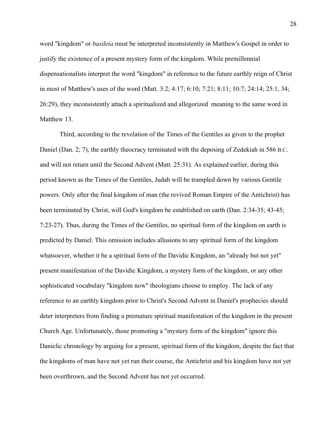word "kingdom" or *basileia* must be interpreted inconsistently in Matthew's Gospel in order to justify the existence of a present mystery form of the kingdom. While premillennial dispensationalists interpret the word "kingdom" in reference to the future earthly reign of Christ in most of Matthew's uses of the word (Matt. 3:2; 4:17; 6:10; 7:21; 8:11; 10:7; 24:14; 25:1, 34; 26:29), they inconsistently attach a spiritualized and allegorized meaning to the same word in Matthew 13.

Third, according to the revelation of the Times of the Gentiles as given to the prophet Daniel (Dan. 2; 7), the earthly theocracy terminated with the deposing of Zedekiah in 586 B.C. and will not return until the Second Advent (Matt. 25:31). As explained earlier, during this period known as the Times of the Gentiles, Judah will be trampled down by various Gentile powers. Only after the final kingdom of man (the revived Roman Empire of the Antichrist) has been terminated by Christ, will God's kingdom be established on earth (Dan. 2:34-35; 43-45; 7:23-27). Thus, during the Times of the Gentiles, no spiritual form of the kingdom on earth is predicted by Daniel. This omission includes allusions to any spiritual form of the kingdom whatsoever, whether it be a spiritual form of the Davidic Kingdom, an "already but not yet" present manifestation of the Davidic Kingdom, a mystery form of the kingdom, or any other sophisticated vocabulary "kingdom now" theologians choose to employ. The lack of any reference to an earthly kingdom prior to Christ's Second Advent in Daniel's prophecies should deter interpreters from finding a premature spiritual manifestation of the kingdom in the present Church Age. Unfortunately, those promoting a "mystery form of the kingdom" ignore this Danielic chronology by arguing for a present, spiritual form of the kingdom, despite the fact that the kingdoms of man have not yet run their course, the Antichrist and his kingdom have not yet been overthrown, and the Second Advent has not yet occurred.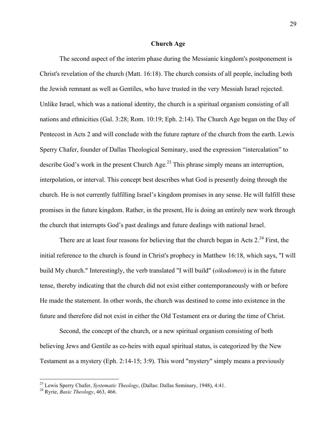## **Church Age**

The second aspect of the interim phase during the Messianic kingdom's postponement is Christ's revelation of the church (Matt. 16:18). The church consists of all people, including both the Jewish remnant as well as Gentiles, who have trusted in the very Messiah Israel rejected. Unlike Israel, which was a national identity, the church is a spiritual organism consisting of all nations and ethnicities (Gal. 3:28; Rom. 10:19; Eph. 2:14). The Church Age began on the Day of Pentecost in Acts 2 and will conclude with the future rapture of the church from the earth. Lewis Sperry Chafer, founder of Dallas Theological Seminary, used the expression "intercalation" to describe God's work in the present Church Age.<sup>23</sup> This phrase simply means an interruption, interpolation, or interval. This concept best describes what God is presently doing through the church. He is not currently fulfilling Israel's kingdom promises in any sense. He will fulfill these promises in the future kingdom. Rather, in the present, He is doing an entirely new work through the church that interrupts God's past dealings and future dealings with national Israel.

There are at least four reasons for believing that the church began in Acts  $2^{24}$  First, the initial reference to the church is found in Christ's prophecy in Matthew 16:18, which says, "I will build My church." Interestingly, the verb translated "I will build" (*oikodomeo*) is in the future tense, thereby indicating that the church did not exist either contemporaneously with or before He made the statement. In other words, the church was destined to come into existence in the future and therefore did not exist in either the Old Testament era or during the time of Christ.

Second, the concept of the church, or a new spiritual organism consisting of both believing Jews and Gentile as co-heirs with equal spiritual status, is categorized by the New Testament as a mystery (Eph. 2:14-15; 3:9). This word "mystery" simply means a previously

<sup>23</sup> Lewis Sperry Chafer, *Systematic Theology*, (Dallas: Dallas Seminary, 1948), 4:41. <sup>24</sup> Ryrie, *Basic Theology*, 463, 466.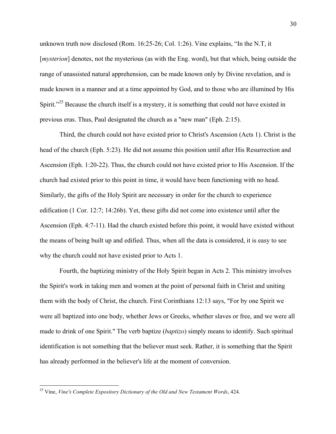unknown truth now disclosed (Rom. 16:25-26; Col. 1:26). Vine explains, "In the N.T, it [*mysterion*] denotes, not the mysterious (as with the Eng. word), but that which, being outside the range of unassisted natural apprehension, can be made known only by Divine revelation, and is made known in a manner and at a time appointed by God, and to those who are illumined by His Spirit."<sup>25</sup> Because the church itself is a mystery, it is something that could not have existed in previous eras. Thus, Paul designated the church as a "new man" (Eph. 2:15).

Third, the church could not have existed prior to Christ's Ascension (Acts 1). Christ is the head of the church (Eph. 5:23). He did not assume this position until after His Resurrection and Ascension (Eph. 1:20-22). Thus, the church could not have existed prior to His Ascension. If the church had existed prior to this point in time, it would have been functioning with no head. Similarly, the gifts of the Holy Spirit are necessary in order for the church to experience edification (1 Cor. 12:7; 14:26b). Yet, these gifts did not come into existence until after the Ascension (Eph. 4:7-11). Had the church existed before this point, it would have existed without the means of being built up and edified. Thus, when all the data is considered, it is easy to see why the church could not have existed prior to Acts 1.

Fourth, the baptizing ministry of the Holy Spirit began in Acts 2. This ministry involves the Spirit's work in taking men and women at the point of personal faith in Christ and uniting them with the body of Christ, the church. First Corinthians 12:13 says, "For by one Spirit we were all baptized into one body, whether Jews or Greeks, whether slaves or free, and we were all made to drink of one Spirit." The verb baptize (*baptizo*) simply means to identify. Such spiritual identification is not something that the believer must seek. Rather, it is something that the Spirit has already performed in the believer's life at the moment of conversion.

 <sup>25</sup> Vine, *Vine's Complete Expository Dictionary of the Old and New Testament Words*, 424.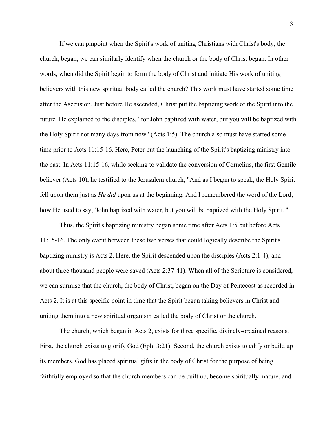If we can pinpoint when the Spirit's work of uniting Christians with Christ's body, the church, began, we can similarly identify when the church or the body of Christ began. In other words, when did the Spirit begin to form the body of Christ and initiate His work of uniting believers with this new spiritual body called the church? This work must have started some time after the Ascension. Just before He ascended, Christ put the baptizing work of the Spirit into the future. He explained to the disciples, "for John baptized with water, but you will be baptized with the Holy Spirit not many days from now" (Acts 1:5). The church also must have started some time prior to Acts 11:15-16. Here, Peter put the launching of the Spirit's baptizing ministry into the past. In Acts 11:15-16, while seeking to validate the conversion of Cornelius, the first Gentile believer (Acts 10), he testified to the Jerusalem church, "And as I began to speak, the Holy Spirit fell upon them just as *He did* upon us at the beginning. And I remembered the word of the Lord, how He used to say, 'John baptized with water, but you will be baptized with the Holy Spirit.'"

Thus, the Spirit's baptizing ministry began some time after Acts 1:5 but before Acts 11:15-16. The only event between these two verses that could logically describe the Spirit's baptizing ministry is Acts 2. Here, the Spirit descended upon the disciples (Acts 2:1-4), and about three thousand people were saved (Acts 2:37-41). When all of the Scripture is considered, we can surmise that the church, the body of Christ, began on the Day of Pentecost as recorded in Acts 2. It is at this specific point in time that the Spirit began taking believers in Christ and uniting them into a new spiritual organism called the body of Christ or the church.

The church, which began in Acts 2, exists for three specific, divinely-ordained reasons. First, the church exists to glorify God (Eph. 3:21). Second, the church exists to edify or build up its members. God has placed spiritual gifts in the body of Christ for the purpose of being faithfully employed so that the church members can be built up, become spiritually mature, and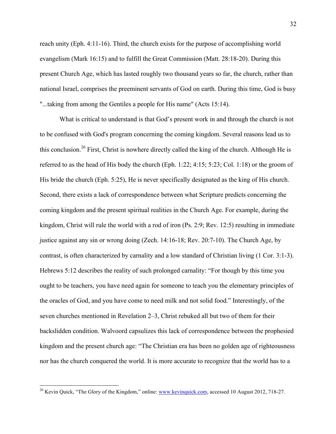reach unity (Eph. 4:11-16). Third, the church exists for the purpose of accomplishing world evangelism (Mark 16:15) and to fulfill the Great Commission (Matt. 28:18-20). During this present Church Age, which has lasted roughly two thousand years so far, the church, rather than national Israel, comprises the preeminent servants of God on earth. During this time, God is busy "...taking from among the Gentiles a people for His name" (Acts 15:14).

What is critical to understand is that God's present work in and through the church is not to be confused with God's program concerning the coming kingdom. Several reasons lead us to this conclusion.<sup>26</sup> First, Christ is nowhere directly called the king of the church. Although He is referred to as the head of His body the church (Eph. 1:22; 4:15; 5:23; Col. 1:18) or the groom of His bride the church (Eph. 5:25), He is never specifically designated as the king of His church. Second, there exists a lack of correspondence between what Scripture predicts concerning the coming kingdom and the present spiritual realities in the Church Age. For example, during the kingdom, Christ will rule the world with a rod of iron (Ps. 2:9; Rev. 12:5) resulting in immediate justice against any sin or wrong doing (Zech. 14:16-18; Rev. 20:7-10). The Church Age, by contrast, is often characterized by carnality and a low standard of Christian living (1 Cor. 3:1-3). Hebrews 5:12 describes the reality of such prolonged carnality: "For though by this time you ought to be teachers, you have need again for someone to teach you the elementary principles of the oracles of God, and you have come to need milk and not solid food." Interestingly, of the seven churches mentioned in Revelation 2–3, Christ rebuked all but two of them for their backslidden condition. Walvoord capsulizes this lack of correspondence between the prophesied kingdom and the present church age: "The Christian era has been no golden age of righteousness nor has the church conquered the world. It is more accurate to recognize that the world has to a

<sup>&</sup>lt;sup>26</sup> Kevin Quick, "The Glory of the Kingdom," online: www.kevinquick.com, accessed 10 August 2012, 718-27.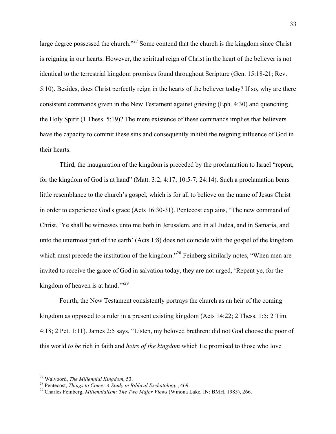large degree possessed the church."<sup>27</sup> Some contend that the church is the kingdom since Christ is reigning in our hearts. However, the spiritual reign of Christ in the heart of the believer is not identical to the terrestrial kingdom promises found throughout Scripture (Gen. 15:18-21; Rev. 5:10). Besides, does Christ perfectly reign in the hearts of the believer today? If so, why are there consistent commands given in the New Testament against grieving (Eph. 4:30) and quenching the Holy Spirit (1 Thess. 5:19)? The mere existence of these commands implies that believers have the capacity to commit these sins and consequently inhibit the reigning influence of God in their hearts.

Third, the inauguration of the kingdom is preceded by the proclamation to Israel "repent, for the kingdom of God is at hand" (Matt. 3:2; 4:17; 10:5-7; 24:14). Such a proclamation bears little resemblance to the church's gospel, which is for all to believe on the name of Jesus Christ in order to experience God's grace (Acts 16:30-31). Pentecost explains, "The new command of Christ, 'Ye shall be witnesses unto me both in Jerusalem, and in all Judea, and in Samaria, and unto the uttermost part of the earth' (Acts 1:8) does not coincide with the gospel of the kingdom which must precede the institution of the kingdom."<sup>28</sup> Feinberg similarly notes, "When men are invited to receive the grace of God in salvation today, they are not urged, 'Repent ye, for the kingdom of heaven is at hand."<sup>29</sup>

Fourth, the New Testament consistently portrays the church as an heir of the coming kingdom as opposed to a ruler in a present existing kingdom (Acts 14:22; 2 Thess. 1:5; 2 Tim. 4:18; 2 Pet. 1:11). James 2:5 says, "Listen, my beloved brethren: did not God choose the poor of this world *to be* rich in faith and *heirs of the kingdom* which He promised to those who love

<sup>&</sup>lt;sup>27</sup> Walvoord, *The Millennial Kingdom*, 53.<br><sup>28</sup> Pentecost, *Things to Come: A Study in Biblical Eschatology* , 469.<br><sup>29</sup> Charles Feinberg, *Millennialism: The Two Major Views* (Winona Lake, IN: BMH, 1985), 266.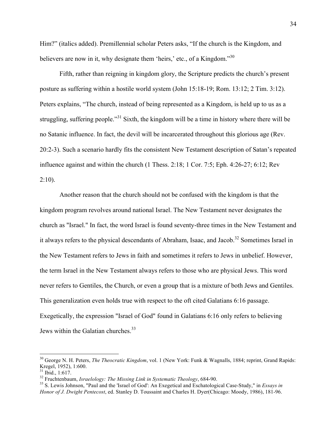Him?" (italics added). Premillennial scholar Peters asks, "If the church is the Kingdom, and believers are now in it, why designate them 'heirs,' etc., of a Kingdom."<sup>30</sup>

Fifth, rather than reigning in kingdom glory, the Scripture predicts the church's present posture as suffering within a hostile world system (John 15:18-19; Rom. 13:12; 2 Tim. 3:12). Peters explains, "The church, instead of being represented as a Kingdom, is held up to us as a struggling, suffering people."<sup>31</sup> Sixth, the kingdom will be a time in history where there will be no Satanic influence. In fact, the devil will be incarcerated throughout this glorious age (Rev. 20:2-3). Such a scenario hardly fits the consistent New Testament description of Satan's repeated influence against and within the church (1 Thess. 2:18; 1 Cor. 7:5; Eph. 4:26-27; 6:12; Rev  $2:10$ ).

Another reason that the church should not be confused with the kingdom is that the kingdom program revolves around national Israel. The New Testament never designates the church as "Israel." In fact, the word Israel is found seventy-three times in the New Testament and it always refers to the physical descendants of Abraham, Isaac, and Jacob.<sup>32</sup> Sometimes Israel in the New Testament refers to Jews in faith and sometimes it refers to Jews in unbelief. However, the term Israel in the New Testament always refers to those who are physical Jews. This word never refers to Gentiles, the Church, or even a group that is a mixture of both Jews and Gentiles. This generalization even holds true with respect to the oft cited Galatians 6:16 passage. Exegetically, the expression "Israel of God" found in Galatians 6:16 only refers to believing Jews within the Galatian churches.<sup>33</sup>

<sup>&</sup>lt;sup>30</sup> George N. H. Peters, *The Theocratic Kingdom*, vol. 1 (New York: Funk & Wagnalls, 1884; reprint, Grand Rapids: Kregel, 1952), 1:600.<br><sup>31</sup> Ibid., 1:617.

<sup>&</sup>lt;sup>32</sup> Fruchtenbaum, *Israelology: The Missing Link in Systematic Theology*, 684-90.<br><sup>33</sup> S. Lewis Johnson, "Paul and the 'Israel of God': An Exegetical and Eschatological Case-Study," in *Essays in Honor of J. Dwight Pentecost*, ed. Stanley D. Toussaint and Charles H. Dyer(Chicago: Moody, 1986), 181-96.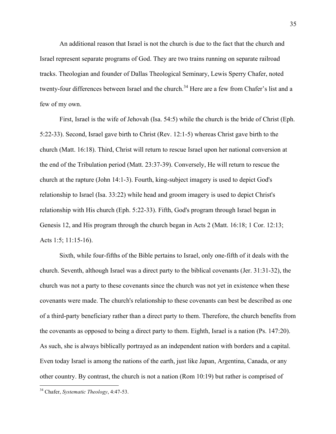An additional reason that Israel is not the church is due to the fact that the church and Israel represent separate programs of God. They are two trains running on separate railroad tracks. Theologian and founder of Dallas Theological Seminary, Lewis Sperry Chafer, noted twenty-four differences between Israel and the church.<sup>34</sup> Here are a few from Chafer's list and a few of my own.

First, Israel is the wife of Jehovah (Isa. 54:5) while the church is the bride of Christ (Eph. 5:22-33). Second, Israel gave birth to Christ (Rev. 12:1-5) whereas Christ gave birth to the church (Matt. 16:18). Third, Christ will return to rescue Israel upon her national conversion at the end of the Tribulation period (Matt. 23:37-39). Conversely, He will return to rescue the church at the rapture (John 14:1-3). Fourth, king-subject imagery is used to depict God's relationship to Israel (Isa. 33:22) while head and groom imagery is used to depict Christ's relationship with His church (Eph. 5:22-33). Fifth, God's program through Israel began in Genesis 12, and His program through the church began in Acts 2 (Matt. 16:18; 1 Cor. 12:13; Acts 1:5; 11:15-16).

Sixth, while four-fifths of the Bible pertains to Israel, only one-fifth of it deals with the church. Seventh, although Israel was a direct party to the biblical covenants (Jer. 31:31-32), the church was not a party to these covenants since the church was not yet in existence when these covenants were made. The church's relationship to these covenants can best be described as one of a third-party beneficiary rather than a direct party to them. Therefore, the church benefits from the covenants as opposed to being a direct party to them. Eighth, Israel is a nation (Ps. 147:20). As such, she is always biblically portrayed as an independent nation with borders and a capital. Even today Israel is among the nations of the earth, just like Japan, Argentina, Canada, or any other country. By contrast, the church is not a nation (Rom 10:19) but rather is comprised of

 <sup>34</sup> Chafer, *Systematic Theology*, 4:47-53.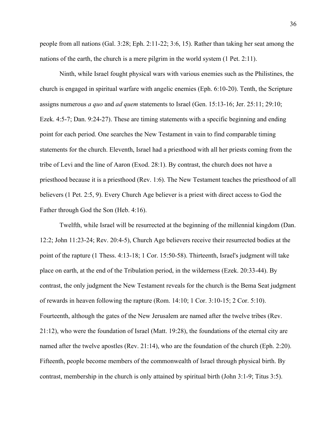people from all nations (Gal. 3:28; Eph. 2:11-22; 3:6, 15). Rather than taking her seat among the nations of the earth, the church is a mere pilgrim in the world system (1 Pet. 2:11).

Ninth, while Israel fought physical wars with various enemies such as the Philistines, the church is engaged in spiritual warfare with angelic enemies (Eph. 6:10-20). Tenth, the Scripture assigns numerous *a quo* and *ad quem* statements to Israel (Gen. 15:13-16; Jer. 25:11; 29:10; Ezek. 4:5-7; Dan. 9:24-27). These are timing statements with a specific beginning and ending point for each period. One searches the New Testament in vain to find comparable timing statements for the church. Eleventh, Israel had a priesthood with all her priests coming from the tribe of Levi and the line of Aaron (Exod. 28:1). By contrast, the church does not have a priesthood because it is a priesthood (Rev. 1:6). The New Testament teaches the priesthood of all believers (1 Pet. 2:5, 9). Every Church Age believer is a priest with direct access to God the Father through God the Son (Heb. 4:16).

Twelfth, while Israel will be resurrected at the beginning of the millennial kingdom (Dan. 12:2; John 11:23-24; Rev. 20:4-5), Church Age believers receive their resurrected bodies at the point of the rapture (1 Thess. 4:13-18; 1 Cor. 15:50-58). Thirteenth, Israel's judgment will take place on earth, at the end of the Tribulation period, in the wilderness (Ezek. 20:33-44). By contrast, the only judgment the New Testament reveals for the church is the Bema Seat judgment of rewards in heaven following the rapture (Rom. 14:10; 1 Cor. 3:10-15; 2 Cor. 5:10). Fourteenth, although the gates of the New Jerusalem are named after the twelve tribes (Rev. 21:12), who were the foundation of Israel (Matt. 19:28), the foundations of the eternal city are named after the twelve apostles (Rev. 21:14), who are the foundation of the church (Eph. 2:20). Fifteenth, people become members of the commonwealth of Israel through physical birth. By contrast, membership in the church is only attained by spiritual birth (John 3:1-9; Titus 3:5).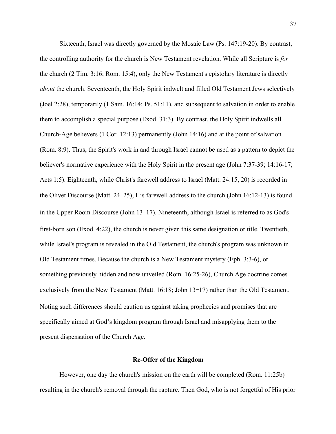Sixteenth, Israel was directly governed by the Mosaic Law (Ps. 147:19-20). By contrast, the controlling authority for the church is New Testament revelation. While all Scripture is *for* the church (2 Tim. 3:16; Rom. 15:4), only the New Testament's epistolary literature is directly *about* the church. Seventeenth, the Holy Spirit indwelt and filled Old Testament Jews selectively (Joel 2:28), temporarily (1 Sam. 16:14; Ps. 51:11), and subsequent to salvation in order to enable them to accomplish a special purpose (Exod. 31:3). By contrast, the Holy Spirit indwells all Church-Age believers (1 Cor. 12:13) permanently (John 14:16) and at the point of salvation (Rom. 8:9). Thus, the Spirit's work in and through Israel cannot be used as a pattern to depict the believer's normative experience with the Holy Spirit in the present age (John 7:37-39; 14:16-17; Acts 1:5). Eighteenth, while Christ's farewell address to Israel (Matt. 24:15, 20) is recorded in the Olivet Discourse (Matt.  $24-25$ ), His farewell address to the church (John 16:12-13) is found in the Upper Room Discourse (John  $13-17$ ). Nineteenth, although Israel is referred to as God's first-born son (Exod. 4:22), the church is never given this same designation or title. Twentieth, while Israel's program is revealed in the Old Testament, the church's program was unknown in Old Testament times. Because the church is a New Testament mystery (Eph. 3:3-6), or something previously hidden and now unveiled (Rom. 16:25-26), Church Age doctrine comes exclusively from the New Testament (Matt.  $16:18$ ; John  $13-17$ ) rather than the Old Testament. Noting such differences should caution us against taking prophecies and promises that are specifically aimed at God's kingdom program through Israel and misapplying them to the present dispensation of the Church Age.

## **Re-Offer of the Kingdom**

However, one day the church's mission on the earth will be completed (Rom. 11:25b) resulting in the church's removal through the rapture. Then God, who is not forgetful of His prior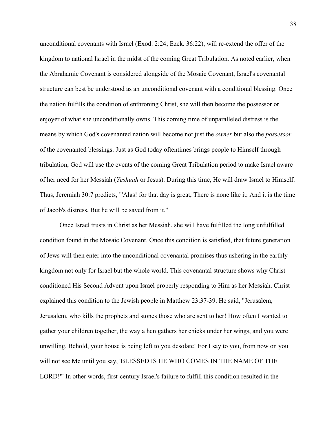unconditional covenants with Israel (Exod. 2:24; Ezek. 36:22), will re-extend the offer of the kingdom to national Israel in the midst of the coming Great Tribulation. As noted earlier, when the Abrahamic Covenant is considered alongside of the Mosaic Covenant, Israel's covenantal structure can best be understood as an unconditional covenant with a conditional blessing. Once the nation fulfills the condition of enthroning Christ, she will then become the possessor or enjoyer of what she unconditionally owns. This coming time of unparalleled distress is the means by which God's covenanted nation will become not just the *owner* but also the *possessor* of the covenanted blessings. Just as God today oftentimes brings people to Himself through tribulation, God will use the events of the coming Great Tribulation period to make Israel aware of her need for her Messiah (*Yeshuah* or Jesus). During this time, He will draw Israel to Himself. Thus, Jeremiah 30:7 predicts, "'Alas! for that day is great, There is none like it; And it is the time of Jacob's distress, But he will be saved from it."

Once Israel trusts in Christ as her Messiah, she will have fulfilled the long unfulfilled condition found in the Mosaic Covenant. Once this condition is satisfied, that future generation of Jews will then enter into the unconditional covenantal promises thus ushering in the earthly kingdom not only for Israel but the whole world. This covenantal structure shows why Christ conditioned His Second Advent upon Israel properly responding to Him as her Messiah. Christ explained this condition to the Jewish people in Matthew 23:37-39. He said, "Jerusalem, Jerusalem, who kills the prophets and stones those who are sent to her! How often I wanted to gather your children together, the way a hen gathers her chicks under her wings, and you were unwilling. Behold, your house is being left to you desolate! For I say to you, from now on you will not see Me until you say, 'BLESSED IS HE WHO COMES IN THE NAME OF THE LORD!'" In other words, first-century Israel's failure to fulfill this condition resulted in the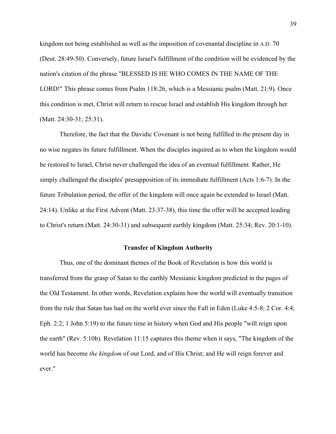kingdom not being established as well as the imposition of covenantal discipline in A.D. 70 (Deut. 28:49-50). Conversely, future Israel's fulfillment of the condition will be evidenced by the nation's citation of the phrase "BLESSED IS HE WHO COMES IN THE NAME OF THE LORD!" This phrase comes from Psalm 118:26, which is a Messianic psalm (Matt. 21:9). Once this condition is met, Christ will return to rescue Israel and establish His kingdom through her (Matt. 24:30-31; 25:31).

Therefore, the fact that the Davidic Covenant is not being fulfilled in the present day in no wise negates its future fulfillment. When the disciples inquired as to when the kingdom would be restored to Israel, Christ never challenged the idea of an eventual fulfillment. Rather, He simply challenged the disciples' presupposition of its immediate fulfillment (Acts 1:6-7). In the future Tribulation period, the offer of the kingdom will once again be extended to Israel (Matt. 24:14). Unlike at the First Advent (Matt. 23:37-38), this time the offer will be accepted leading to Christ's return (Matt. 24:30-31) and subsequent earthly kingdom (Matt. 25:34; Rev. 20:1-10).

#### **Transfer of Kingdom Authority**

Thus, one of the dominant themes of the Book of Revelation is how this world is transferred from the grasp of Satan to the earthly Messianic kingdom predicted in the pages of the Old Testament. In other words, Revelation explains how the world will eventually transition from the rule that Satan has had on the world ever since the Fall in Eden (Luke 4:5-8; 2 Cor. 4:4; Eph. 2:2; 1 John 5:19) to the future time in history when God and His people "will reign upon the earth" (Rev. 5:10b). Revelation 11:15 captures this theme when it says, "The kingdom of the world has become *the kingdom* of our Lord, and of His Christ; and He will reign forever and ever."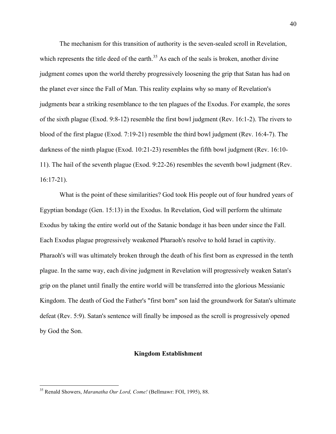The mechanism for this transition of authority is the seven-sealed scroll in Revelation, which represents the title deed of the earth.<sup>35</sup> As each of the seals is broken, another divine judgment comes upon the world thereby progressively loosening the grip that Satan has had on the planet ever since the Fall of Man. This reality explains why so many of Revelation's judgments bear a striking resemblance to the ten plagues of the Exodus. For example, the sores of the sixth plague (Exod. 9:8-12) resemble the first bowl judgment (Rev. 16:1-2). The rivers to blood of the first plague (Exod. 7:19-21) resemble the third bowl judgment (Rev. 16:4-7). The darkness of the ninth plague (Exod. 10:21-23) resembles the fifth bowl judgment (Rev. 16:10- 11). The hail of the seventh plague (Exod. 9:22-26) resembles the seventh bowl judgment (Rev. 16:17-21).

What is the point of these similarities? God took His people out of four hundred years of Egyptian bondage (Gen. 15:13) in the Exodus. In Revelation, God will perform the ultimate Exodus by taking the entire world out of the Satanic bondage it has been under since the Fall. Each Exodus plague progressively weakened Pharaoh's resolve to hold Israel in captivity. Pharaoh's will was ultimately broken through the death of his first born as expressed in the tenth plague. In the same way, each divine judgment in Revelation will progressively weaken Satan's grip on the planet until finally the entire world will be transferred into the glorious Messianic Kingdom. The death of God the Father's "first born" son laid the groundwork for Satan's ultimate defeat (Rev. 5:9). Satan's sentence will finally be imposed as the scroll is progressively opened by God the Son.

## **Kingdom Establishment**

 <sup>35</sup> Renald Showers, *Maranatha Our Lord, Come!* (Bellmawr: FOI, 1995), 88.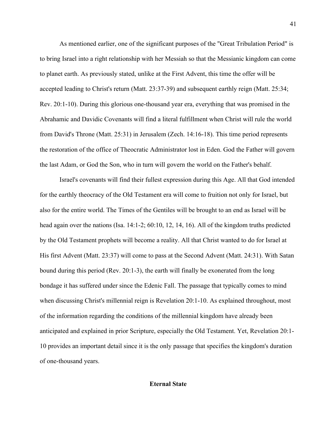As mentioned earlier, one of the significant purposes of the "Great Tribulation Period" is to bring Israel into a right relationship with her Messiah so that the Messianic kingdom can come to planet earth. As previously stated, unlike at the First Advent, this time the offer will be accepted leading to Christ's return (Matt. 23:37-39) and subsequent earthly reign (Matt. 25:34; Rev. 20:1-10). During this glorious one-thousand year era, everything that was promised in the Abrahamic and Davidic Covenants will find a literal fulfillment when Christ will rule the world from David's Throne (Matt. 25:31) in Jerusalem (Zech. 14:16-18). This time period represents the restoration of the office of Theocratic Administrator lost in Eden. God the Father will govern the last Adam, or God the Son, who in turn will govern the world on the Father's behalf.

Israel's covenants will find their fullest expression during this Age. All that God intended for the earthly theocracy of the Old Testament era will come to fruition not only for Israel, but also for the entire world. The Times of the Gentiles will be brought to an end as Israel will be head again over the nations (Isa. 14:1-2; 60:10, 12, 14, 16). All of the kingdom truths predicted by the Old Testament prophets will become a reality. All that Christ wanted to do for Israel at His first Advent (Matt. 23:37) will come to pass at the Second Advent (Matt. 24:31). With Satan bound during this period (Rev. 20:1-3), the earth will finally be exonerated from the long bondage it has suffered under since the Edenic Fall. The passage that typically comes to mind when discussing Christ's millennial reign is Revelation 20:1-10. As explained throughout, most of the information regarding the conditions of the millennial kingdom have already been anticipated and explained in prior Scripture, especially the Old Testament. Yet, Revelation 20:1- 10 provides an important detail since it is the only passage that specifies the kingdom's duration of one-thousand years.

# **Eternal State**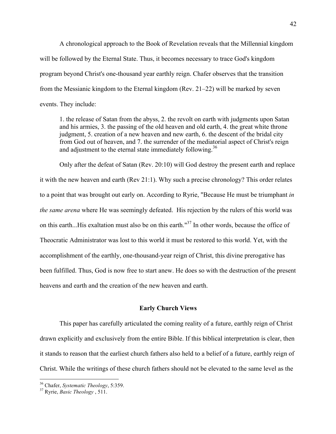A chronological approach to the Book of Revelation reveals that the Millennial kingdom will be followed by the Eternal State. Thus, it becomes necessary to trace God's kingdom program beyond Christ's one-thousand year earthly reign. Chafer observes that the transition from the Messianic kingdom to the Eternal kingdom (Rev. 21–22) will be marked by seven events. They include:

1. the release of Satan from the abyss, 2. the revolt on earth with judgments upon Satan and his armies, 3. the passing of the old heaven and old earth, 4. the great white throne judgment, 5. creation of a new heaven and new earth, 6. the descent of the bridal city from God out of heaven, and 7. the surrender of the mediatorial aspect of Christ's reign and adjustment to the eternal state immediately following.<sup>36</sup>

Only after the defeat of Satan (Rev. 20:10) will God destroy the present earth and replace it with the new heaven and earth (Rev 21:1). Why such a precise chronology? This order relates to a point that was brought out early on. According to Ryrie, "Because He must be triumphant *in the same arena* where He was seemingly defeated. His rejection by the rulers of this world was on this earth...His exaltation must also be on this earth."<sup>37</sup> In other words, because the office of Theocratic Administrator was lost to this world it must be restored to this world. Yet, with the accomplishment of the earthly, one-thousand-year reign of Christ, this divine prerogative has been fulfilled. Thus, God is now free to start anew. He does so with the destruction of the present heavens and earth and the creation of the new heaven and earth.

## **Early Church Views**

This paper has carefully articulated the coming reality of a future, earthly reign of Christ drawn explicitly and exclusively from the entire Bible. If this biblical interpretation is clear, then it stands to reason that the earliest church fathers also held to a belief of a future, earthly reign of Christ. While the writings of these church fathers should not be elevated to the same level as the

<sup>36</sup> Chafer, *Systematic Theology*, 5:359. <sup>37</sup> Ryrie, *Basic Theology* , 511.